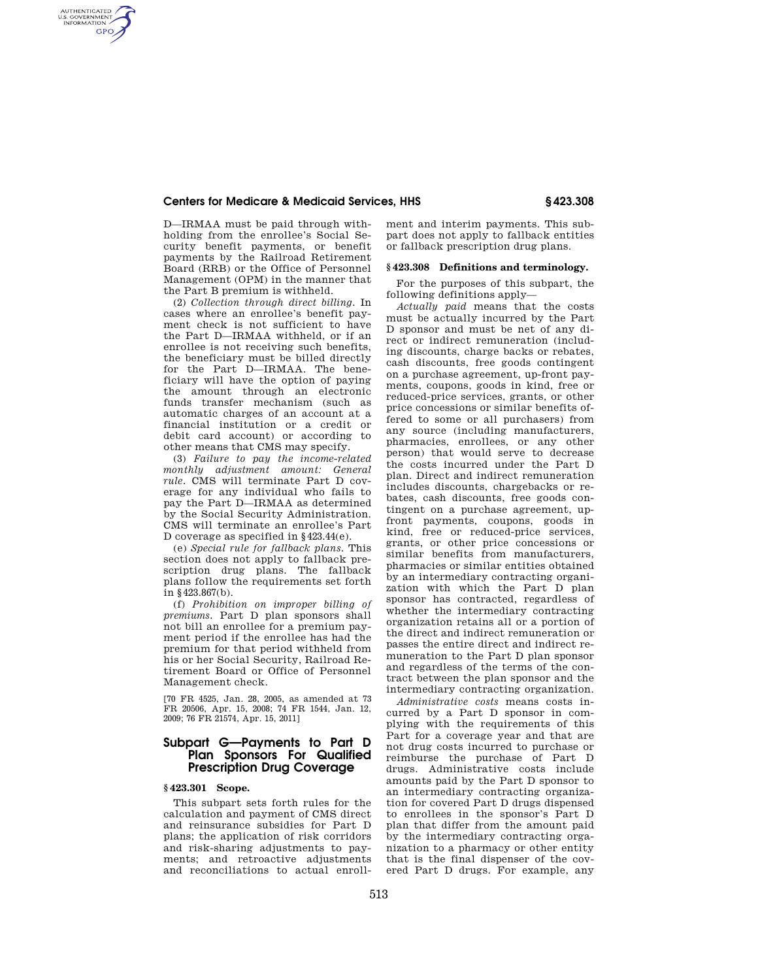### **Centers for Medicare & Medicaid Services, HHS § 423.308**

D—IRMAA must be paid through withholding from the enrollee's Social Security benefit payments, or benefit payments by the Railroad Retirement Board (RRB) or the Office of Personnel Management (OPM) in the manner that the Part B premium is withheld.

AUTHENTICATED<br>U.S. GOVERNMENT<br>INFORMATION **GPO** 

> (2) *Collection through direct billing.* In cases where an enrollee's benefit payment check is not sufficient to have the Part D—IRMAA withheld, or if an enrollee is not receiving such benefits, the beneficiary must be billed directly for the Part D—IRMAA. The beneficiary will have the option of paying the amount through an electronic funds transfer mechanism (such as automatic charges of an account at a financial institution or a credit or debit card account) or according to other means that CMS may specify.

> (3) *Failure to pay the income-related monthly adjustment amount: General rule.* CMS will terminate Part D coverage for any individual who fails to pay the Part D—IRMAA as determined by the Social Security Administration. CMS will terminate an enrollee's Part D coverage as specified in §423.44(e).

> (e) *Special rule for fallback plans.* This section does not apply to fallback prescription drug plans. The fallback plans follow the requirements set forth in §423.867(b).

> (f) *Prohibition on improper billing of premiums.* Part D plan sponsors shall not bill an enrollee for a premium payment period if the enrollee has had the premium for that period withheld from his or her Social Security, Railroad Retirement Board or Office of Personnel Management check.

> [70 FR 4525, Jan. 28, 2005, as amended at 73 FR 20506, Apr. 15, 2008; 74 FR 1544, Jan. 12, 2009; 76 FR 21574, Apr. 15, 2011]

# **Subpart G—Payments to Part D Plan Sponsors For Qualified Prescription Drug Coverage**

## **§ 423.301 Scope.**

This subpart sets forth rules for the calculation and payment of CMS direct and reinsurance subsidies for Part D plans; the application of risk corridors and risk-sharing adjustments to payments; and retroactive adjustments and reconciliations to actual enrollment and interim payments. This subpart does not apply to fallback entities or fallback prescription drug plans.

#### **§ 423.308 Definitions and terminology.**

For the purposes of this subpart, the following definitions apply—

*Actually paid* means that the costs must be actually incurred by the Part D sponsor and must be net of any direct or indirect remuneration (including discounts, charge backs or rebates, cash discounts, free goods contingent on a purchase agreement, up-front payments, coupons, goods in kind, free or reduced-price services, grants, or other price concessions or similar benefits offered to some or all purchasers) from any source (including manufacturers, pharmacies, enrollees, or any other person) that would serve to decrease the costs incurred under the Part D plan. Direct and indirect remuneration includes discounts, chargebacks or rebates, cash discounts, free goods contingent on a purchase agreement, upfront payments, coupons, goods in kind, free or reduced-price services, grants, or other price concessions or similar benefits from manufacturers, pharmacies or similar entities obtained by an intermediary contracting organization with which the Part D plan sponsor has contracted, regardless of whether the intermediary contracting organization retains all or a portion of the direct and indirect remuneration or passes the entire direct and indirect remuneration to the Part D plan sponsor and regardless of the terms of the contract between the plan sponsor and the intermediary contracting organization.

*Administrative costs* means costs incurred by a Part D sponsor in complying with the requirements of this Part for a coverage year and that are not drug costs incurred to purchase or reimburse the purchase of Part D drugs. Administrative costs include amounts paid by the Part D sponsor to an intermediary contracting organization for covered Part D drugs dispensed to enrollees in the sponsor's Part D plan that differ from the amount paid by the intermediary contracting organization to a pharmacy or other entity that is the final dispenser of the covered Part D drugs. For example, any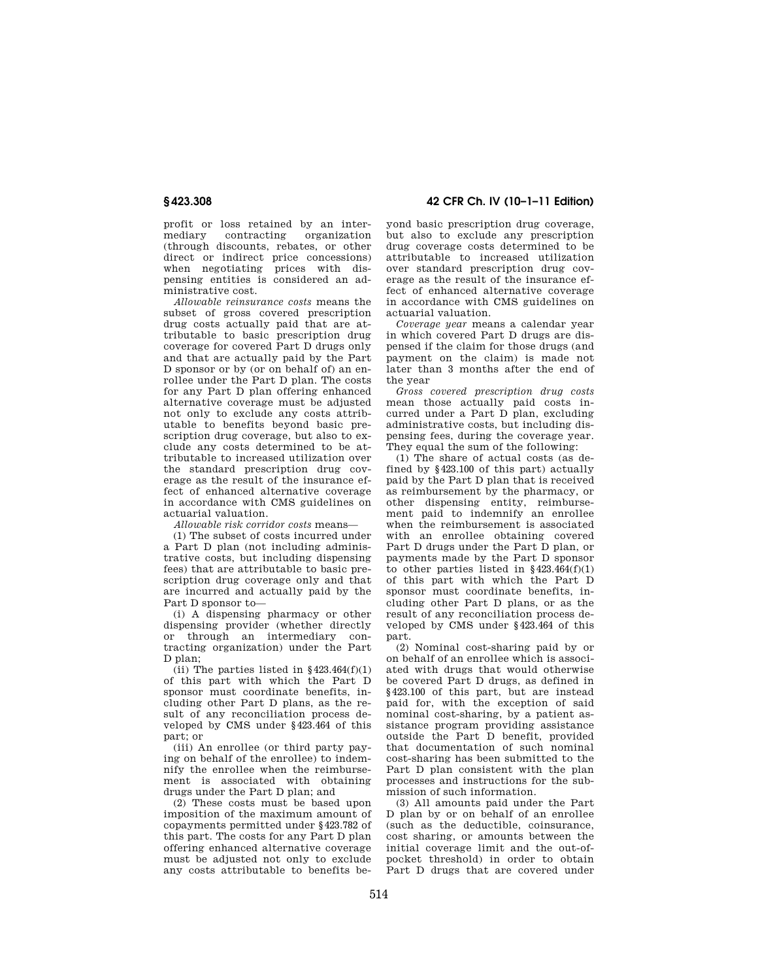profit or loss retained by an intermediary contracting organization (through discounts, rebates, or other direct or indirect price concessions) when negotiating prices with dispensing entities is considered an administrative cost.

*Allowable reinsurance costs* means the subset of gross covered prescription drug costs actually paid that are attributable to basic prescription drug coverage for covered Part D drugs only and that are actually paid by the Part D sponsor or by (or on behalf of) an enrollee under the Part D plan. The costs for any Part D plan offering enhanced alternative coverage must be adjusted not only to exclude any costs attributable to benefits beyond basic prescription drug coverage, but also to exclude any costs determined to be attributable to increased utilization over the standard prescription drug coverage as the result of the insurance effect of enhanced alternative coverage in accordance with CMS guidelines on actuarial valuation.

*Allowable risk corridor costs* means—

(1) The subset of costs incurred under a Part D plan (not including administrative costs, but including dispensing fees) that are attributable to basic prescription drug coverage only and that are incurred and actually paid by the Part D sponsor to—

(i) A dispensing pharmacy or other dispensing provider (whether directly or through an intermediary contracting organization) under the Part D plan;

(ii) The parties listed in  $§423.464(f)(1)$ of this part with which the Part D sponsor must coordinate benefits, including other Part D plans, as the result of any reconciliation process developed by CMS under §423.464 of this part; or

(iii) An enrollee (or third party paying on behalf of the enrollee) to indemnify the enrollee when the reimbursement is associated with obtaining drugs under the Part D plan; and

(2) These costs must be based upon imposition of the maximum amount of copayments permitted under §423.782 of this part. The costs for any Part D plan offering enhanced alternative coverage must be adjusted not only to exclude any costs attributable to benefits be-

**§ 423.308 42 CFR Ch. IV (10–1–11 Edition)** 

yond basic prescription drug coverage, but also to exclude any prescription drug coverage costs determined to be attributable to increased utilization over standard prescription drug coverage as the result of the insurance effect of enhanced alternative coverage in accordance with CMS guidelines on actuarial valuation.

*Coverage year* means a calendar year in which covered Part D drugs are dispensed if the claim for those drugs (and payment on the claim) is made not later than 3 months after the end of the year

*Gross covered prescription drug costs*  mean those actually paid costs incurred under a Part D plan, excluding administrative costs, but including dispensing fees, during the coverage year. They equal the sum of the following:

(1) The share of actual costs (as defined by §423.100 of this part) actually paid by the Part D plan that is received as reimbursement by the pharmacy, or other dispensing entity, reimbursement paid to indemnify an enrollee when the reimbursement is associated with an enrollee obtaining covered Part D drugs under the Part D plan, or payments made by the Part D sponsor to other parties listed in §423.464(f)(1) of this part with which the Part D sponsor must coordinate benefits, including other Part D plans, or as the result of any reconciliation process developed by CMS under §423.464 of this part.

(2) Nominal cost-sharing paid by or on behalf of an enrollee which is associated with drugs that would otherwise be covered Part D drugs, as defined in §423.100 of this part, but are instead paid for, with the exception of said nominal cost-sharing, by a patient assistance program providing assistance outside the Part D benefit, provided that documentation of such nominal cost-sharing has been submitted to the Part D plan consistent with the plan processes and instructions for the submission of such information.

(3) All amounts paid under the Part D plan by or on behalf of an enrollee (such as the deductible, coinsurance, cost sharing, or amounts between the initial coverage limit and the out-ofpocket threshold) in order to obtain Part D drugs that are covered under